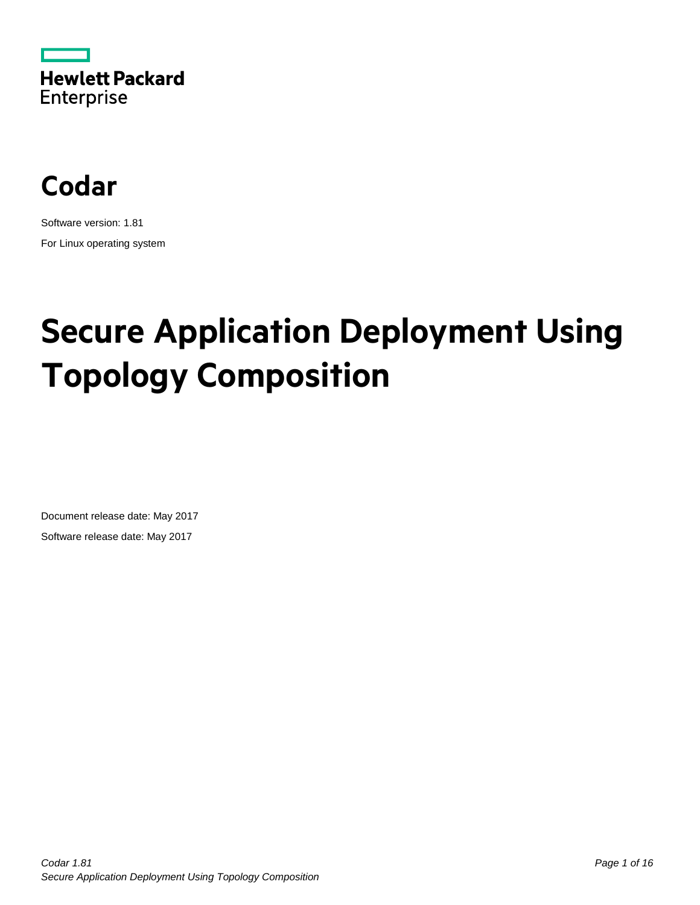



Software version: 1.81 For Linux operating system

# **Secure Application Deployment Using Topology Composition**

Document release date: May 2017 Software release date: May 2017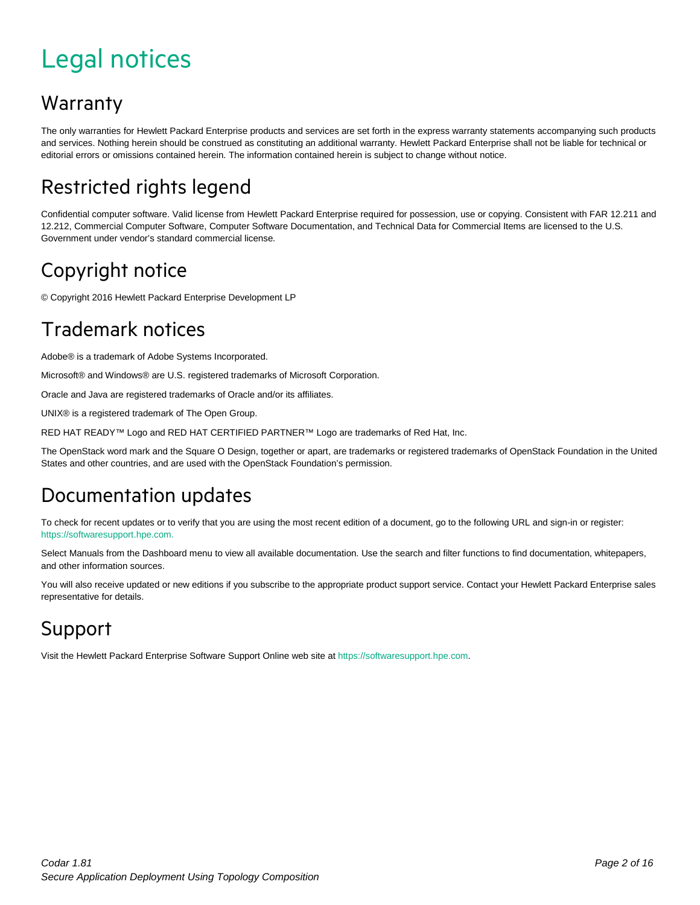# <span id="page-1-0"></span>Legal notices

#### Warranty

The only warranties for Hewlett Packard Enterprise products and services are set forth in the express warranty statements accompanying such products and services. Nothing herein should be construed as constituting an additional warranty. Hewlett Packard Enterprise shall not be liable for technical or editorial errors or omissions contained herein. The information contained herein is subject to change without notice.

#### Restricted rights legend

Confidential computer software. Valid license from Hewlett Packard Enterprise required for possession, use or copying. Consistent with FAR 12.211 and 12.212, Commercial Computer Software, Computer Software Documentation, and Technical Data for Commercial Items are licensed to the U.S. Government under vendor's standard commercial license.

#### Copyright notice

© Copyright 2016 Hewlett Packard Enterprise Development LP

#### Trademark notices

Adobe® is a trademark of Adobe Systems Incorporated.

Microsoft® and Windows® are U.S. registered trademarks of Microsoft Corporation.

Oracle and Java are registered trademarks of Oracle and/or its affiliates.

UNIX® is a registered trademark of The Open Group.

RED HAT READY™ Logo and RED HAT CERTIFIED PARTNER™ Logo are trademarks of Red Hat, Inc.

The OpenStack word mark and the Square O Design, together or apart, are trademarks or registered trademarks of OpenStack Foundation in the United States and other countries, and are used with the OpenStack Foundation's permission.

#### Documentation updates

To check for recent updates or to verify that you are using the most recent edition of a document, go to the following URL and sign-in or register: [https://softwaresupport.hpe.com.](https://softwaresupport.hpe.com./)

Select Manuals from the Dashboard menu to view all available documentation. Use the search and filter functions to find documentation, whitepapers, and other information sources.

You will also receive updated or new editions if you subscribe to the appropriate product support service. Contact your Hewlett Packard Enterprise sales representative for details.

#### Support

Visit the Hewlett Packard Enterprise Software Support Online web site a[t https://softwaresupport.hpe.com.](https://softwaresupport.hpe.com/)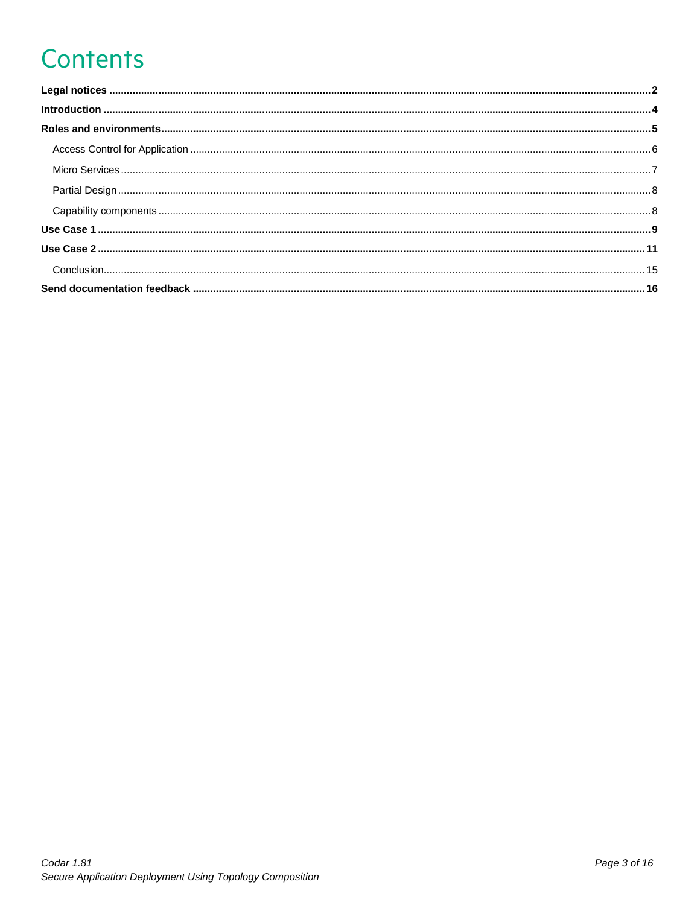# **Contents**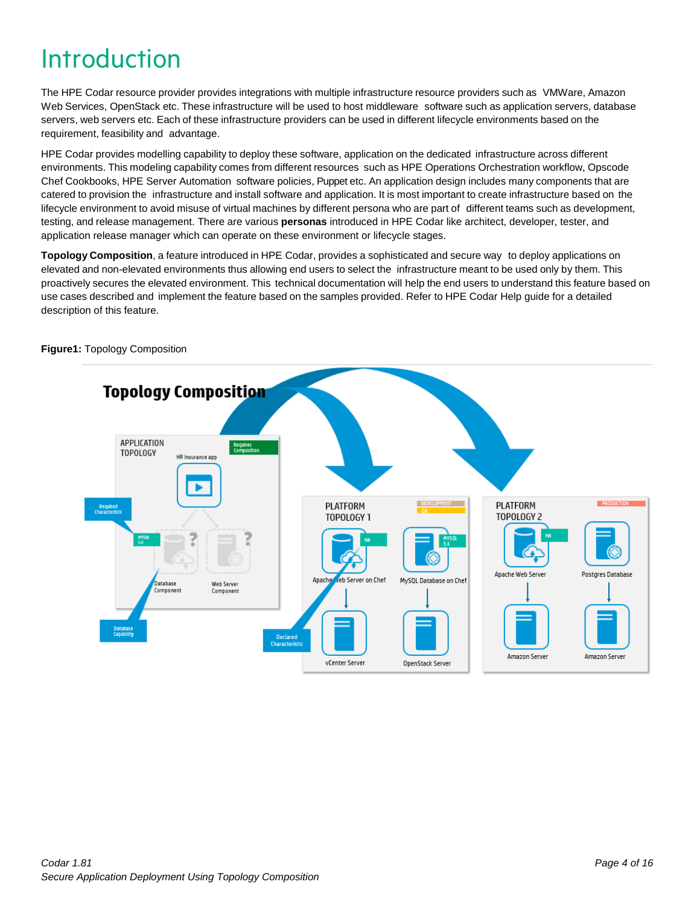# <span id="page-3-0"></span>Introduction

The HPE Codar resource provider provides integrations with multiple infrastructure resource providers such as VMWare, Amazon Web Services, OpenStack etc. These infrastructure will be used to host middleware software such as application servers, database servers, web servers etc. Each of these infrastructure providers can be used in different lifecycle environments based on the requirement, feasibility and advantage.

HPE Codar provides modelling capability to deploy these software, application on the dedicated infrastructure across different environments. This modeling capability comes from different resources such as HPE Operations Orchestration workflow, Opscode Chef Cookbooks, HPE Server Automation software policies, Puppet etc. An application design includes many components that are catered to provision the infrastructure and install software and application. It is most important to create infrastructure based on the lifecycle environment to avoid misuse of virtual machines by different persona who are part of different teams such as development, testing, and release management. There are various **personas** introduced in HPE Codar like architect, developer, tester, and application release manager which can operate on these environment or lifecycle stages.

**Topology Composition**, a feature introduced in HPE Codar, provides a sophisticated and secure way to deploy applications on elevated and non-elevated environments thus allowing end users to select the infrastructure meant to be used only by them. This proactively secures the elevated environment. This technical documentation will help the end users to understand this feature based on use cases described and implement the feature based on the samples provided. Refer to HPE Codar Help guide for a detailed description of this feature.



**Figure1:** Topology Composition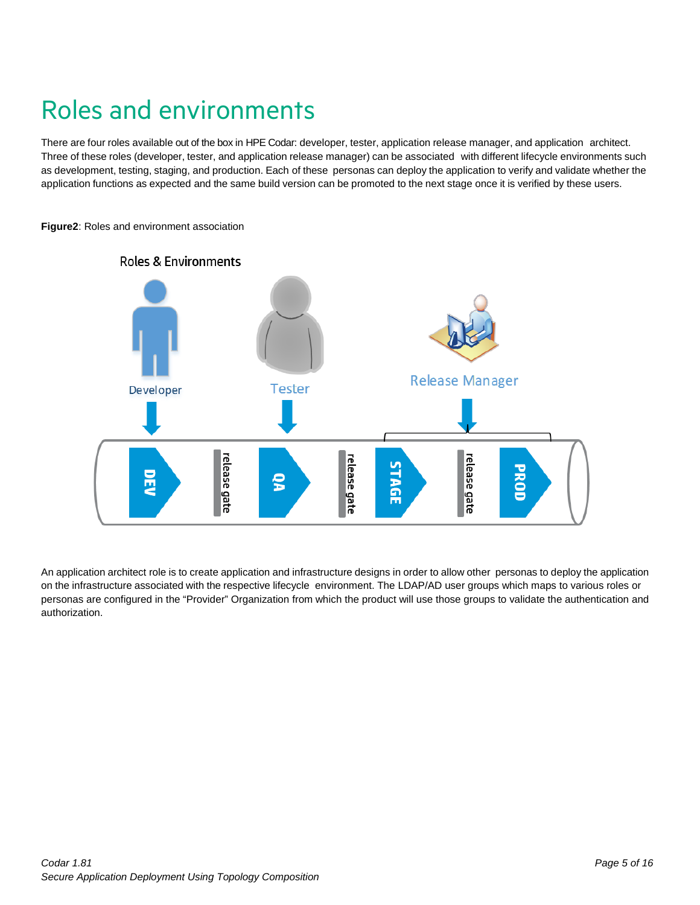# <span id="page-4-0"></span>Roles and environments

There are four roles available out of the box in HPE Codar: developer, tester, application release manager, and application architect. Three of these roles (developer, tester, and application release manager) can be associated with different lifecycle environments such as development, testing, staging, and production. Each of these personas can deploy the application to verify and validate whether the application functions as expected and the same build version can be promoted to the next stage once it is verified by these users.



**Figure2**: Roles and environment association

An application architect role is to create application and infrastructure designs in order to allow other personas to deploy the application on the infrastructure associated with the respective lifecycle environment. The LDAP/AD user groups which maps to various roles or personas are configured in the "Provider" Organization from which the product will use those groups to validate the authentication and authorization.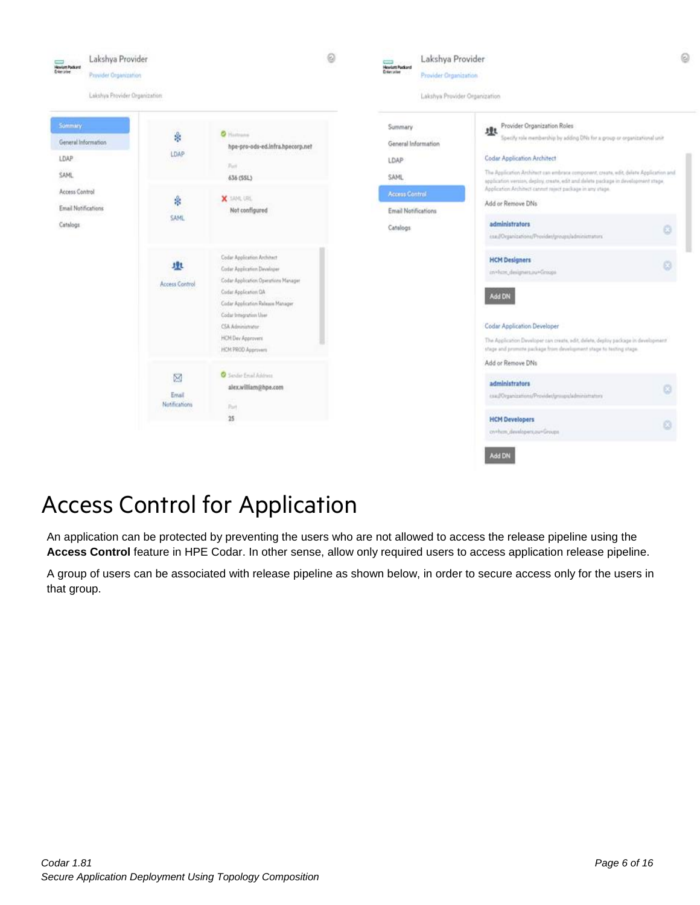

### <span id="page-5-0"></span>Access Control for Application

An application can be protected by preventing the users who are not allowed to access the release pipeline using the Access Control feature in HPE Codar. In other sense, allow only required users to access application release pipeline.

A group of users can be associated with release pipeline as shown below, in order to secure access only for the users in that group.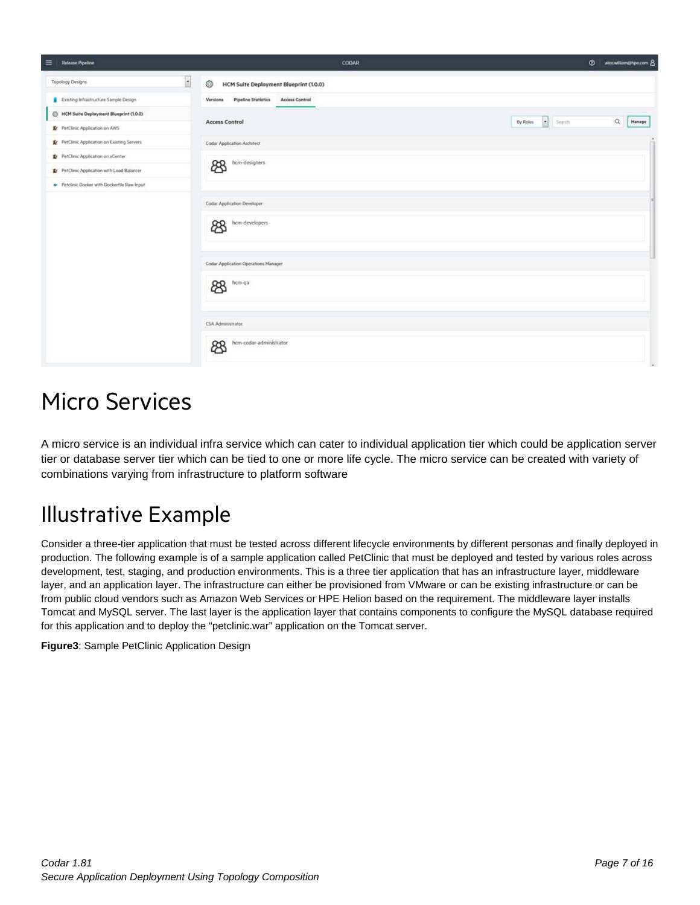| $\equiv$<br>Release Pipeline                 | CODAR                                                           | $\circ$<br>alexwilliam@hpe.com 8                |
|----------------------------------------------|-----------------------------------------------------------------|-------------------------------------------------|
| $\blacksquare$<br><b>Topology Designs</b>    | ◎<br>HCM Suite Deployment Blueprint (1.0.0)                     |                                                 |
| Existing Infrastructure Sample Design        | <b>Pipeline Statistics</b><br><b>Access Control</b><br>Versions |                                                 |
| Blueprint (1,0,0)                            |                                                                 | $\hbox{\tt Q}$                                  |
| PerClinic Application on AWS                 | <b>Access Control</b>                                           | $\vert x \vert$<br>By Roles<br>Manage<br>Seinch |
| Pr PetClinic Application on Existing Servers | Codar Application Architect                                     |                                                 |
| PetClinic Application on vCenter             | hcm-designers                                                   |                                                 |
| PerClinic Application with Load Balancer     | සි                                                              |                                                 |
| Petclinic Docker with Dockerfile Raw Input   |                                                                 |                                                 |
|                                              | Codar Application Developer                                     |                                                 |
|                                              | hcm-developers<br>සි                                            |                                                 |
|                                              | Codar Application Operations Manager                            |                                                 |
|                                              | hcm-qa<br>සි                                                    |                                                 |
|                                              | CSA Administrator                                               |                                                 |
|                                              | hcm-codar-administrator<br>ඎ                                    |                                                 |

### <span id="page-6-0"></span>Micro Services

A micro service is an individual infra service which can cater to individual application tier which could be application server tier or database server tier which can be tied to one or more life cycle. The micro service can be created with variety of combinations varying from infrastructure to platform software

### Illustrative Example

Consider a three-tier application that must be tested across different lifecycle environments by different personas and finally deployed in production. The following example is of a sample application called PetClinic that must be deployed and tested by various roles across development, test, staging, and production environments. This is a three tier application that has an infrastructure layer, middleware layer, and an application layer. The infrastructure can either be provisioned from VMware or can be existing infrastructure or can be from public cloud vendors such as Amazon Web Services or HPE Helion based on the requirement. The middleware layer installs Tomcat and MySQL server. The last layer is the application layer that contains components to configure the MySQL database required for this application and to deploy the "petclinic.war" application on the Tomcat server.

**Figure3**: Sample PetClinic Application Design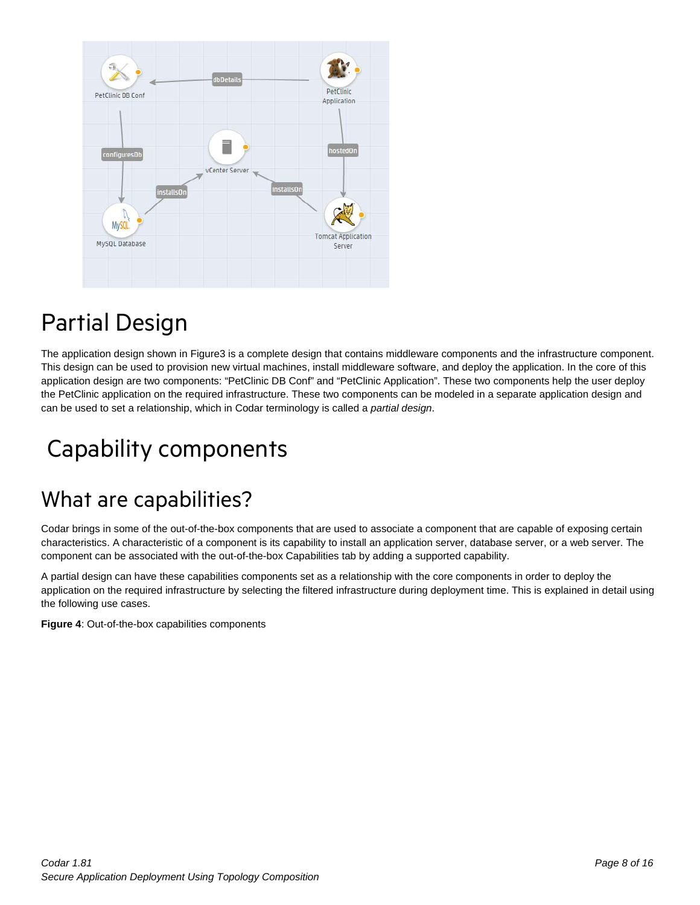

# <span id="page-7-0"></span>Partial Design

The application design shown in Figure3 is a complete design that contains middleware components and the infrastructure component. This design can be used to provision new virtual machines, install middleware software, and deploy the application. In the core of this application design are two components: "PetClinic DB Conf" and "PetClinic Application". These two components help the user deploy the PetClinic application on the required infrastructure. These two components can be modeled in a separate application design and can be used to set a relationship, which in Codar terminology is called a *partial design*.

# <span id="page-7-1"></span>Capability components

#### What are capabilities?

Codar brings in some of the out-of-the-box components that are used to associate a component that are capable of exposing certain characteristics. A characteristic of a component is its capability to install an application server, database server, or a web server. The component can be associated with the out-of-the-box Capabilities tab by adding a supported capability.

A partial design can have these capabilities components set as a relationship with the core components in order to deploy the application on the required infrastructure by selecting the filtered infrastructure during deployment time. This is explained in detail using the following use cases.

**Figure 4**: Out-of-the-box capabilities components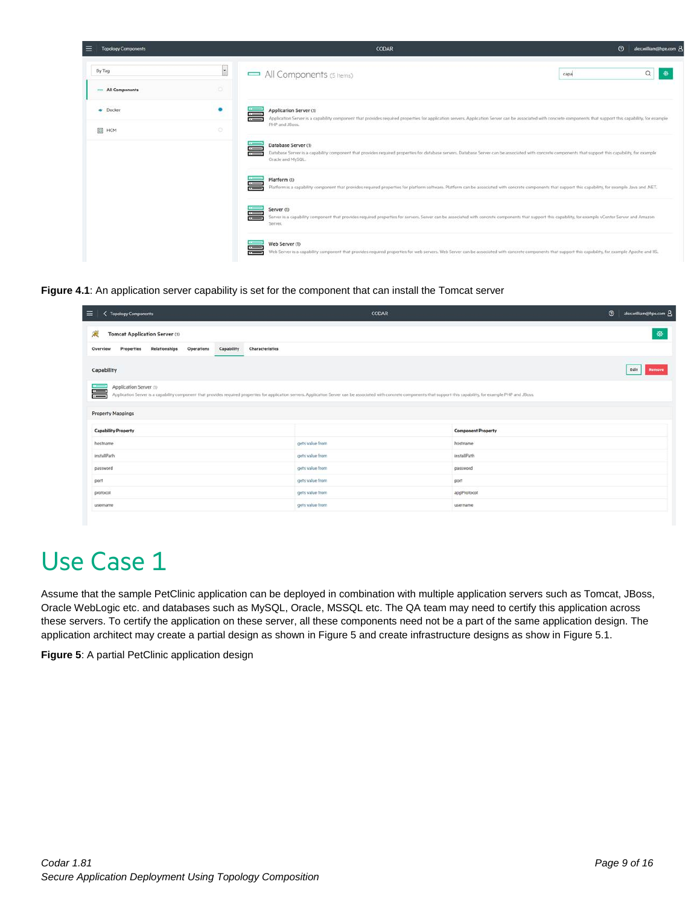| ≡<br><b>Topology Components</b> |                          | CODAR                                                                                                                                                                                                                                                   | $\circ$<br>alex.william@hpe.com 8 |
|---------------------------------|--------------------------|---------------------------------------------------------------------------------------------------------------------------------------------------------------------------------------------------------------------------------------------------------|-----------------------------------|
| By Tag                          | $\overline{\phantom{a}}$ | All Components (5 Items)                                                                                                                                                                                                                                | $\alpha$<br>G<br>capa             |
| All Components                  | o                        |                                                                                                                                                                                                                                                         |                                   |
| · Docker                        | $\bullet$                | Application Server (1)<br>$\equiv$<br>Application Server is a capability component that provides required properties for application servers. Application Server can be associated with concrete components that support this capability, for example   |                                   |
| E HCM                           | o                        | PHP and JBoss.                                                                                                                                                                                                                                          |                                   |
|                                 |                          | Database Server (1)<br>⋿<br>Database Server is a capability component that provides required properties for database servers. Database Server can be associated with concrete components that support this capability, for example<br>Oracle and MySQL. |                                   |
|                                 |                          | Platform (1)<br>三<br>Platform is a capability component that provides required properties for platform software. Platform can be associated with concrete components that support this capability, for example Java and .NET.                           |                                   |
|                                 |                          | Server (1)<br>≡<br>Server is a capability component that provides required properties for servers. Server can be associated with concrete components that support this capability, for example vCenter Server and Amazon<br>Server.                     |                                   |
|                                 |                          | Web Server (1)<br>$\equiv$<br>Web Server is a capability component that provides required properties for web servers. Web Server can be associated with concrete components that support this capability, for example Apache and IIS.                   |                                   |

**Figure 4.1**: An application server capability is set for the component that can install the Tomcat server

| $\equiv$<br><b>Topology Components</b>                                                                                                                                                                                                                        | CODAR           |                           | $\circ$<br>alex.william@hpe.com 8 |
|---------------------------------------------------------------------------------------------------------------------------------------------------------------------------------------------------------------------------------------------------------------|-----------------|---------------------------|-----------------------------------|
| 震<br><b>Tomcat Application Server (1)</b>                                                                                                                                                                                                                     |                 |                           | Ø                                 |
| Relationships<br>Operations<br>Capability<br>Characteristics<br>Properties<br>Overview                                                                                                                                                                        |                 |                           |                                   |
| Capability                                                                                                                                                                                                                                                    |                 |                           | Edit<br>Remove                    |
| Application Server (1)<br>〓<br>Application Server is a capability component that provides required properties for application servers. Application Server can be associated with concrete components that support this capability, for example PHP and JBoss. |                 |                           |                                   |
|                                                                                                                                                                                                                                                               |                 |                           |                                   |
| <b>Property Mappings</b>                                                                                                                                                                                                                                      |                 |                           |                                   |
| <b>Capability Property</b>                                                                                                                                                                                                                                    |                 | <b>Component Property</b> |                                   |
| hostname                                                                                                                                                                                                                                                      | gets value from | hostname                  |                                   |
| installPath                                                                                                                                                                                                                                                   | gets value from | installPath               |                                   |
| password                                                                                                                                                                                                                                                      | gets value from | password                  |                                   |
| port                                                                                                                                                                                                                                                          | gets value from | port                      |                                   |
| protocol                                                                                                                                                                                                                                                      | gets value from | appProtocol               |                                   |
| username                                                                                                                                                                                                                                                      | gets value from |                           |                                   |

# <span id="page-8-0"></span>Use Case 1

Assume that the sample PetClinic application can be deployed in combination with multiple application servers such as Tomcat, JBoss, Oracle WebLogic etc. and databases such as MySQL, Oracle, MSSQL etc. The QA team may need to certify this application across these servers. To certify the application on these server, all these components need not be a part of the same application design. The application architect may create a partial design as shown in Figure 5 and create infrastructure designs as show in Figure 5.1.

**Figure 5**: A partial PetClinic application design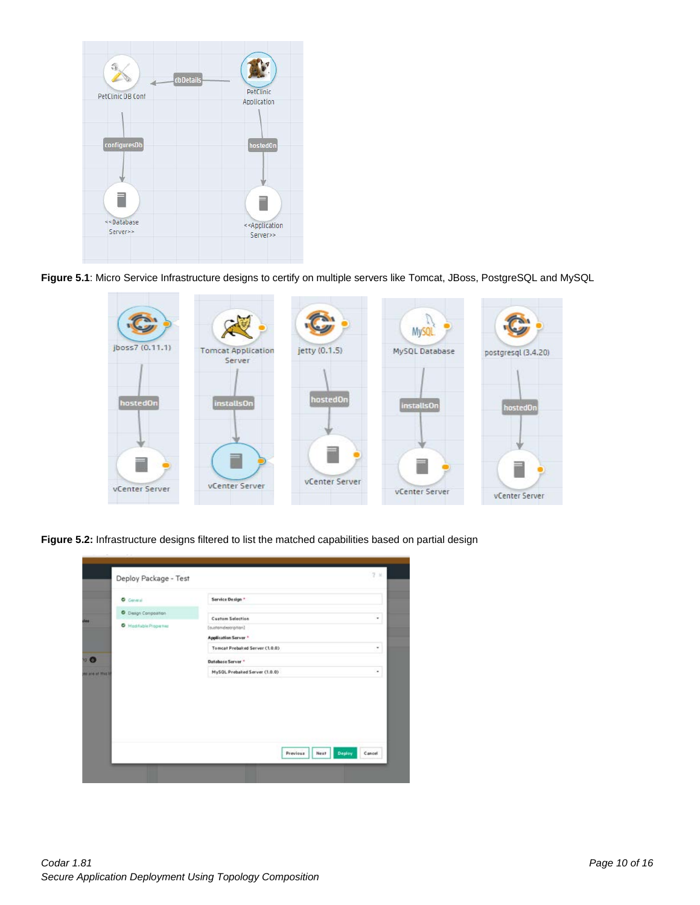

**Figure 5.1**: Micro Service Infrastructure designs to certify on multiple servers like Tomcat, JBoss, PostgreSQL and MySQL



**Figure 5.2:** Infrastructure designs filtered to list the matched capabilities based on partial design

| <b>O</b> General      | Service Design *                            |   |
|-----------------------|---------------------------------------------|---|
| C Dasgn Composition   |                                             |   |
|                       | <b>Custom Selection</b>                     | ٠ |
| Madifiable Properties | [outtomdercription]<br>Application Server * |   |
|                       | Tomcat Prebaked Server (1.0.0)              | ٠ |
|                       | Database Server <sup>*</sup>                |   |
|                       | MySQL Prebaked Server (1.0.0)               | ٠ |
|                       |                                             |   |
|                       |                                             |   |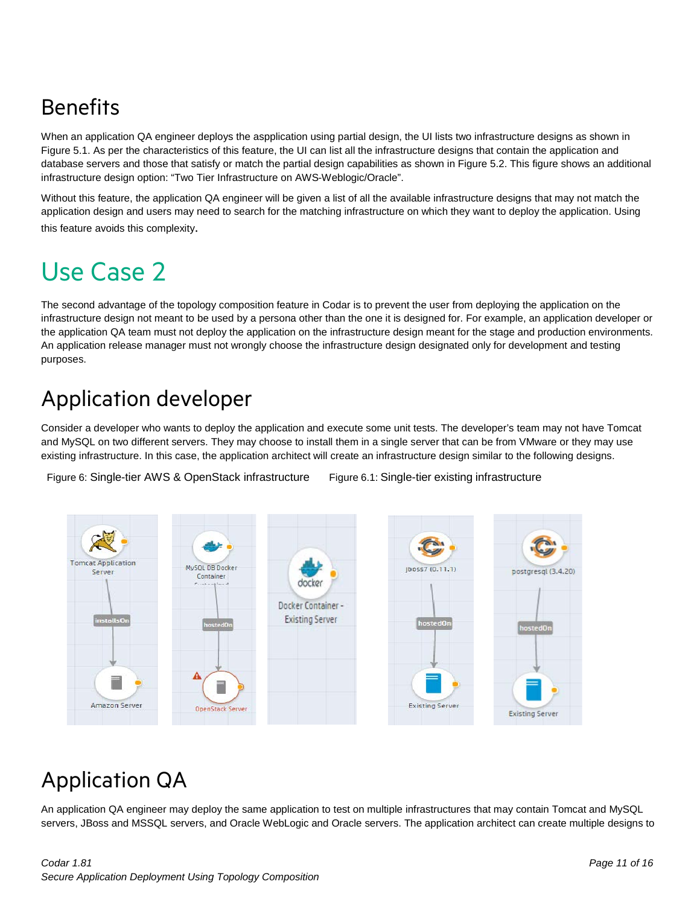### Benefits

When an application QA engineer deploys the aspplication using partial design, the UI lists two infrastructure designs as shown in Figure 5.1. As per the characteristics of this feature, the UI can list all the infrastructure designs that contain the application and database servers and those that satisfy or match the partial design capabilities as shown in Figure 5.2. This figure shows an additional infrastructure design option: "Two Tier Infrastructure on AWS-Weblogic/Oracle".

Without this feature, the application QA engineer will be given a list of all the available infrastructure designs that may not match the application design and users may need to search for the matching infrastructure on which they want to deploy the application. Using this feature avoids this complexity.

# <span id="page-10-0"></span>Use Case 2

The second advantage of the topology composition feature in Codar is to prevent the user from deploying the application on the infrastructure design not meant to be used by a persona other than the one it is designed for. For example, an application developer or the application QA team must not deploy the application on the infrastructure design meant for the stage and production environments. An application release manager must not wrongly choose the infrastructure design designated only for development and testing purposes.

### Application developer

Consider a developer who wants to deploy the application and execute some unit tests. The developer's team may not have Tomcat and MySQL on two different servers. They may choose to install them in a single server that can be from VMware or they may use existing infrastructure. In this case, the application architect will create an infrastructure design similar to the following designs.

Figure 6: Single-tier AWS & OpenStack infrastructure Figure 6.1: Single-tier existing infrastructure



### Application QA

An application QA engineer may deploy the same application to test on multiple infrastructures that may contain Tomcat and MySQL servers, JBoss and MSSQL servers, and Oracle WebLogic and Oracle servers. The application architect can create multiple designs to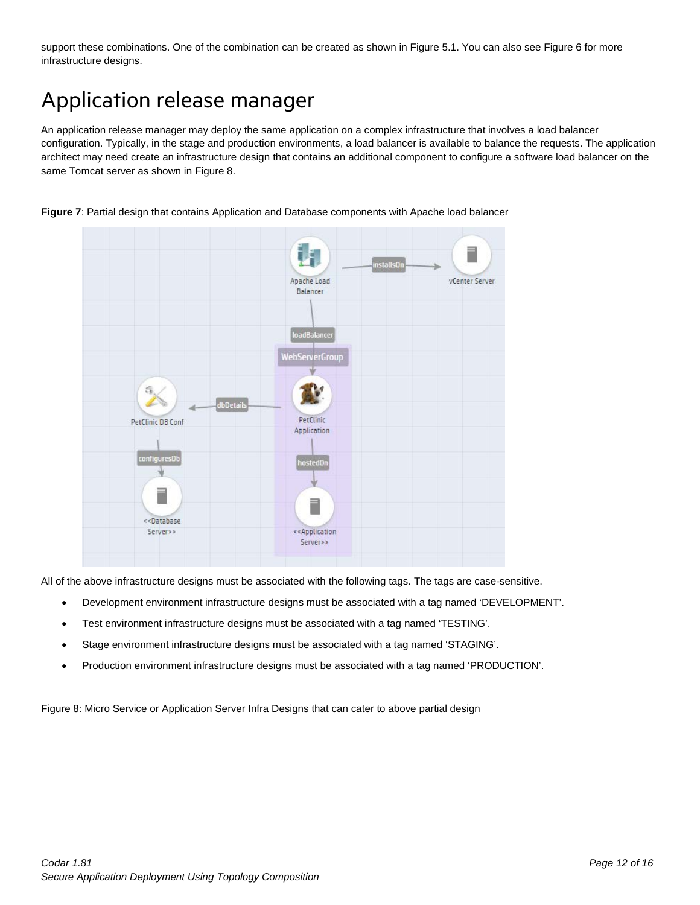support these combinations. One of the combination can be created as shown in Figure 5.1. You can also see Figure 6 for more infrastructure designs.

### Application release manager

An application release manager may deploy the same application on a complex infrastructure that involves a load balancer configuration. Typically, in the stage and production environments, a load balancer is available to balance the requests. The application architect may need create an infrastructure design that contains an additional component to configure a software load balancer on the same Tomcat server as shown in Figure 8.



**Figure 7**: Partial design that contains Application and Database components with Apache load balancer

All of the above infrastructure designs must be associated with the following tags. The tags are case-sensitive.

- Development environment infrastructure designs must be associated with a tag named 'DEVELOPMENT'.
- Test environment infrastructure designs must be associated with a tag named 'TESTING'.
- Stage environment infrastructure designs must be associated with a tag named 'STAGING'.
- Production environment infrastructure designs must be associated with a tag named 'PRODUCTION'.

Figure 8: Micro Service or Application Server Infra Designs that can cater to above partial design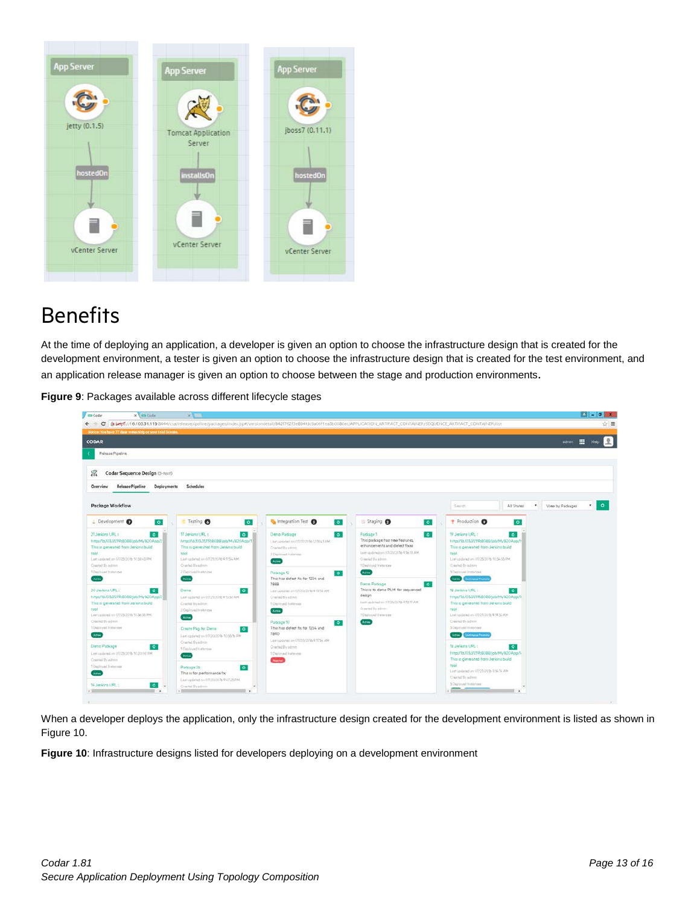

#### **Benefits**

At the time of deploying an application, a developer is given an option to choose the infrastructure design that is created for the development environment, a tester is given an option to choose the infrastructure design that is created for the test environment, and

an application release manager is given an option to choose between the stage and production environments.

**Figure 9**: Packages available across different lifecycle stages

| x Coder<br><b>Codar</b>                                                                                                                                                                                                                                                                                                                                                                     | $x = 1$                                                                                                                                                                                                                                                                                                                                    |                                                                                                                                                                                                                                                                                                 |                                                                                                                                                                                                                                                                                                                                                                  |                                                                                                                                                                                                                                                                                                                                                                                                                            |                               |
|---------------------------------------------------------------------------------------------------------------------------------------------------------------------------------------------------------------------------------------------------------------------------------------------------------------------------------------------------------------------------------------------|--------------------------------------------------------------------------------------------------------------------------------------------------------------------------------------------------------------------------------------------------------------------------------------------------------------------------------------------|-------------------------------------------------------------------------------------------------------------------------------------------------------------------------------------------------------------------------------------------------------------------------------------------------|------------------------------------------------------------------------------------------------------------------------------------------------------------------------------------------------------------------------------------------------------------------------------------------------------------------------------------------------------------------|----------------------------------------------------------------------------------------------------------------------------------------------------------------------------------------------------------------------------------------------------------------------------------------------------------------------------------------------------------------------------------------------------------------------------|-------------------------------|
| $\leftarrow$ - C                                                                                                                                                                                                                                                                                                                                                                            |                                                                                                                                                                                                                                                                                                                                            |                                                                                                                                                                                                                                                                                                 | Brbans://16.103.31.119:8444/csa/releasepipeline/backades/index.isp#/versiondetail/842f762f3eB94fdc9a06f1ea3b0080ec/APPLiCATION_ARTIFACT_CONTAINER/SEQUENCE_ARTIFACT_CONTAINER/SEQUENCE_ARTIFACT_CONTAINER                                                                                                                                                        |                                                                                                                                                                                                                                                                                                                                                                                                                            | ☆■                            |
| Notice: You have 77 days remaining on your trial license.                                                                                                                                                                                                                                                                                                                                   |                                                                                                                                                                                                                                                                                                                                            |                                                                                                                                                                                                                                                                                                 |                                                                                                                                                                                                                                                                                                                                                                  |                                                                                                                                                                                                                                                                                                                                                                                                                            |                               |
| <b>CODAR</b>                                                                                                                                                                                                                                                                                                                                                                                |                                                                                                                                                                                                                                                                                                                                            |                                                                                                                                                                                                                                                                                                 |                                                                                                                                                                                                                                                                                                                                                                  |                                                                                                                                                                                                                                                                                                                                                                                                                            | 田<br>admin<br>Help            |
| Release Pipeline                                                                                                                                                                                                                                                                                                                                                                            |                                                                                                                                                                                                                                                                                                                                            |                                                                                                                                                                                                                                                                                                 |                                                                                                                                                                                                                                                                                                                                                                  |                                                                                                                                                                                                                                                                                                                                                                                                                            |                               |
|                                                                                                                                                                                                                                                                                                                                                                                             |                                                                                                                                                                                                                                                                                                                                            |                                                                                                                                                                                                                                                                                                 |                                                                                                                                                                                                                                                                                                                                                                  |                                                                                                                                                                                                                                                                                                                                                                                                                            |                               |
| Codar Sequence Design (3-test)<br>窑                                                                                                                                                                                                                                                                                                                                                         |                                                                                                                                                                                                                                                                                                                                            |                                                                                                                                                                                                                                                                                                 |                                                                                                                                                                                                                                                                                                                                                                  |                                                                                                                                                                                                                                                                                                                                                                                                                            |                               |
|                                                                                                                                                                                                                                                                                                                                                                                             |                                                                                                                                                                                                                                                                                                                                            |                                                                                                                                                                                                                                                                                                 |                                                                                                                                                                                                                                                                                                                                                                  |                                                                                                                                                                                                                                                                                                                                                                                                                            |                               |
| Release Pipeline<br>Deployments<br>Overview                                                                                                                                                                                                                                                                                                                                                 | Schedules                                                                                                                                                                                                                                                                                                                                  |                                                                                                                                                                                                                                                                                                 |                                                                                                                                                                                                                                                                                                                                                                  |                                                                                                                                                                                                                                                                                                                                                                                                                            |                               |
|                                                                                                                                                                                                                                                                                                                                                                                             |                                                                                                                                                                                                                                                                                                                                            |                                                                                                                                                                                                                                                                                                 |                                                                                                                                                                                                                                                                                                                                                                  |                                                                                                                                                                                                                                                                                                                                                                                                                            |                               |
| Package Workflow                                                                                                                                                                                                                                                                                                                                                                            |                                                                                                                                                                                                                                                                                                                                            |                                                                                                                                                                                                                                                                                                 |                                                                                                                                                                                                                                                                                                                                                                  | All Shanes<br>$\bullet$ .<br>Sainh                                                                                                                                                                                                                                                                                                                                                                                         | $\cdot$ 0<br>View by Packages |
| <b>L</b> Development<br>$\bullet$                                                                                                                                                                                                                                                                                                                                                           | Testing <sup>6</sup><br>$\bullet$                                                                                                                                                                                                                                                                                                          | htegration Test<br>$\circ$                                                                                                                                                                                                                                                                      | Staging @<br>$\bullet$                                                                                                                                                                                                                                                                                                                                           | Production @<br>$\bullet$                                                                                                                                                                                                                                                                                                                                                                                                  |                               |
| $\bullet$<br>21 Jankins URL:<br>http://ta103.31119;8068/job/My%20App/2<br>This is generated from Jenkins build<br>tool<br>Lestupdetechn 05/25/2016 30:38:45 PM<br>Created By agonn<br>1 Distinyed Institutes<br>Actio<br>$\bullet$<br>30 Jankins URL :<br>http://t6.f03.31119;8088/job/My%20App/2<br>This is generated from Jenkins build<br>tool<br>Last updated in 07/25/2016 10:36:58 PM | $\bullet$<br>17 Jankins URL 1<br>http://to.103.31119:8088/job/My%20App/T<br>This is generated from Jenkins build.<br>tool<br>List undated on 07/25/2016 @1754 AM.<br>Crashed By admin-<br>2 Deployed Instances<br>Acros<br>Denn<br>$\bullet$<br>Lest quidated on 07/21/2016 @13:30 AM<br>Cramius By edmin<br>2 Deployed Instances<br>Atlas | Damo Padcage<br>$\bullet$<br>List updated on 07/27/2016 123545 AN<br>Created By signin<br>3 Deptsyed Instances<br>Action<br>Package 12<br>$\bullet$<br>This has defect for for 1234 and<br>7888<br>Last updated an 07/20/2016 9 18:10 AM<br>Created By admin.<br>1 Desloyed Instances<br>Action | $\bullet$<br>Padcage 1<br>This padcage has new features,<br>enhancements and defect fives<br>Last updated on 0.02012018 @ to 10 AM.<br>Crainfed By edmin<br>* Deployed Instances<br>Atlant.<br>Dano Padcage<br>$\bullet$<br>This is to derio PLM for sequenced<br>delign.<br>East updated on 07/20/2016 9:1517 AM<br>Created By advan-<br>3 Deployed Institution | $\ddot{\circ}$<br>10 Jankins URL:<br>https://tb.103.31.119:8088/job/My%20App/?<br>This is generated from Jenkins build.<br>tool<br>Limit colds had an 07/25/2016 50:54:55 PM<br>Charled By agreer<br>5 Digitoved Institutes<br>Active Command Fromme<br>18 Jankins URL:<br>$\bullet$<br>https/16.103.31.119;9088/job/My%20App/1<br>This is generated from Jenkins build<br>tool<br>MAS2 97.9 & 07/21/20 hs Safebbar fan 1. |                               |
| Chiated Evadrein<br>1 Deployed fraiteness<br><b>Ameri</b><br>Denio Padcage<br>$\circ$<br>Lem updated an 01/25/2016 10:30:00 PM<br>Greened By agents<br>1 Deployed Instances<br>Actos<br>14 Jersons URL 1<br>$\bullet$<br>$\sim$<br>$\sim$                                                                                                                                                   | Create Pkg for Dento<br>$\circ$<br>Law updated on 07/20/2016 10:3516 PM<br>Crashed By admin.<br>1 Electoyed Wettminer<br>Attim<br>$\bullet$<br>Parkage 26<br>This is for performance fix<br>Last updated on 07/20/2070 9 AT25 PM<br>Crasted Dy admin<br>$\overline{\phantom{a}}$                                                           | Package 10<br>$\bullet$<br>This has defect fix for 1234 and<br>7890<br>Lest spdated an 07/20/2016 9:17:54 AM<br>Created By admin<br>1 Dayloved Instances<br><b>Reserved</b>                                                                                                                     | <b>Action</b>                                                                                                                                                                                                                                                                                                                                                    | Created By adress.<br>5 Dealeyed Inmocent<br>Active Continues From its<br>16 Jenkins UPL:<br>$\bullet$<br>http://lo.103.31.119;8088/job/My120App/5<br>This is generated from Jenkins build<br>tool<br>Last up and on 07/25/2016 (FSL14 AM)<br>Created By adress<br>5 Distoyed Instances<br>1000<br>$\sim$<br>___                                                                                                           |                               |

When a developer deploys the application, only the infrastructure design created for the development environment is listed as shown in Figure 10.

**Figure 10**: Infrastructure designs listed for developers deploying on a development environment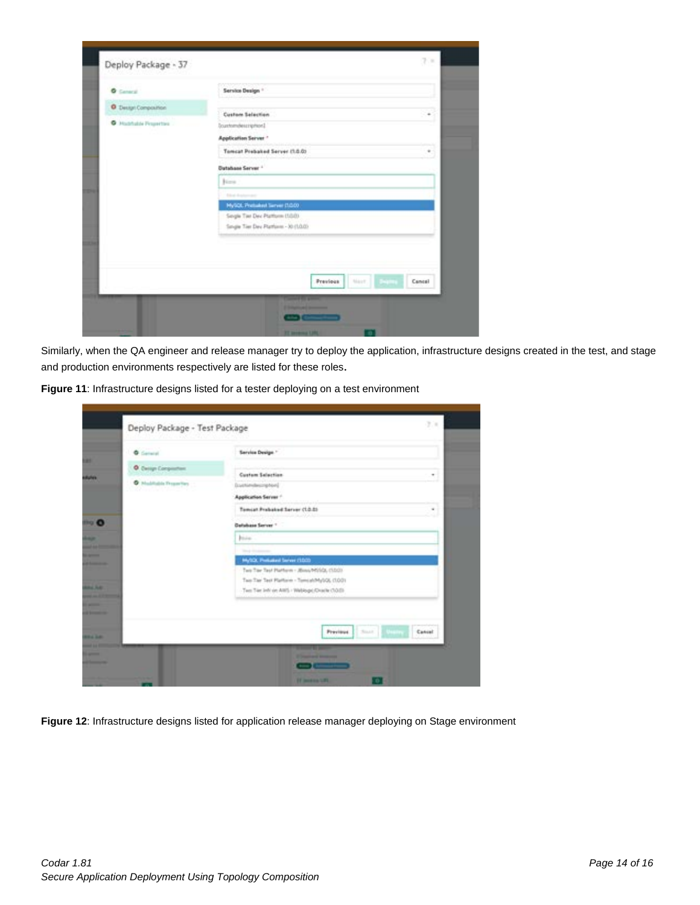| <b>O</b> Central            | Service Design *                                                          |
|-----------------------------|---------------------------------------------------------------------------|
| <b>O</b> Design Composition |                                                                           |
| C Hushalak Projection       | Custom Selection<br>٠<br>Institution and countries                        |
|                             | Application Server *                                                      |
|                             | Tomcat Prebaked Server (1.0.0)<br>٠                                       |
|                             | <b>Dutshase Server *</b>                                                  |
|                             | June.                                                                     |
|                             | <b>Education Andrew Area</b>                                              |
|                             | MySQL Pretailed Server (1.0.0)                                            |
|                             | Sergie Tier Dev Platform (1/3/3)<br>Single Tier Dev Platform - 30 (1.0.0) |
|                             |                                                                           |

Similarly, when the QA engineer and release manager try to deploy the application, infrastructure designs created in the test, and stage and production environments respectively are listed for these roles.

| <b>O</b> General      | Service Design *                                    |
|-----------------------|-----------------------------------------------------|
| O Delign Composition: |                                                     |
| C Haddalek Freember   | <b>Custom Selection</b><br>٠<br>Institutescriptural |
|                       | Application Server +                                |
|                       | Tomcat Prebaked Server (1.0.8)                      |
|                       | Database Server 1                                   |
|                       | <b>Britis</b>                                       |
|                       | The police and services                             |
|                       | MySQL Preliated Server (1020)                       |
|                       | Two Tay Tast Platform - JEwa/MillOL (1.00)          |
|                       | Two Tay Test Platform - Tomcat/MyUQL (1001)         |
|                       | Two Tier Jefr on AWS / Webbypt/Drade (10:0)         |
|                       |                                                     |
|                       |                                                     |
|                       | Sout Edition<br>Previous.<br>Cancel                 |
|                       | <b>The Company</b>                                  |

**Figure 12**: Infrastructure designs listed for application release manager deploying on Stage environment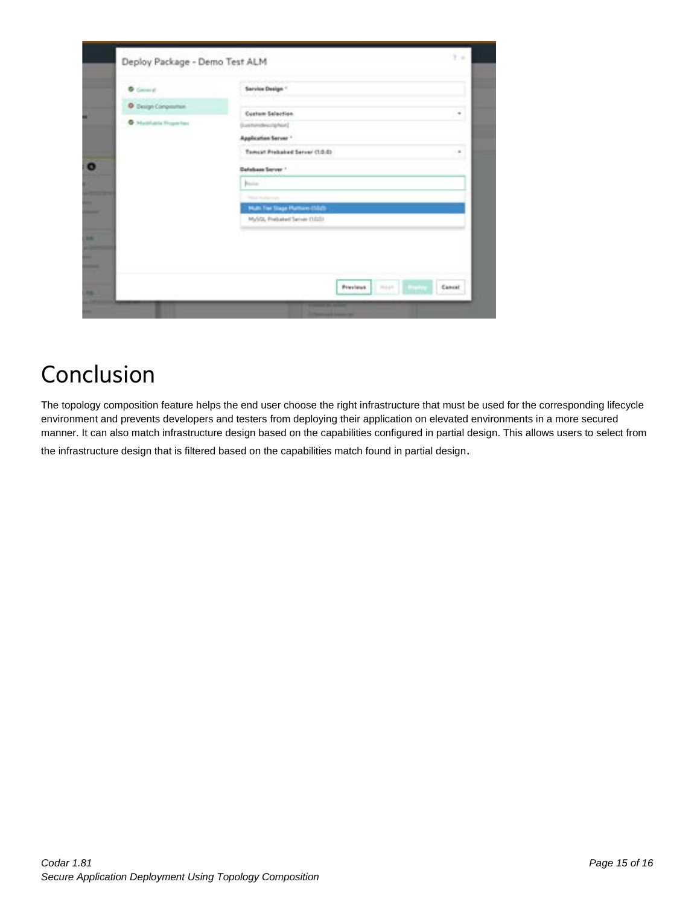| <b>Sales And Address Add</b><br>D. Design Composition<br>Cortum Selection<br><b>B</b> Hallmark Frogeritas<br>Duesenheimighed<br>Application Server."<br>Tempor Probabilitätiver (1.0.0)<br><b>Database Server 1</b><br>hanno. |  |
|-------------------------------------------------------------------------------------------------------------------------------------------------------------------------------------------------------------------------------|--|
|                                                                                                                                                                                                                               |  |
|                                                                                                                                                                                                                               |  |
|                                                                                                                                                                                                                               |  |
|                                                                                                                                                                                                                               |  |
|                                                                                                                                                                                                                               |  |
|                                                                                                                                                                                                                               |  |
| <b>This Automobile</b>                                                                                                                                                                                                        |  |
| Multi Tier Stage Puthare (SSS)-                                                                                                                                                                                               |  |
| MySQL Prebated Server (3020)                                                                                                                                                                                                  |  |

## <span id="page-14-0"></span>Conclusion

The topology composition feature helps the end user choose the right infrastructure that must be used for the corresponding lifecycle environment and prevents developers and testers from deploying their application on elevated environments in a more secured manner. It can also match infrastructure design based on the capabilities configured in partial design. This allows users to select from

the infrastructure design that is filtered based on the capabilities match found in partial design.